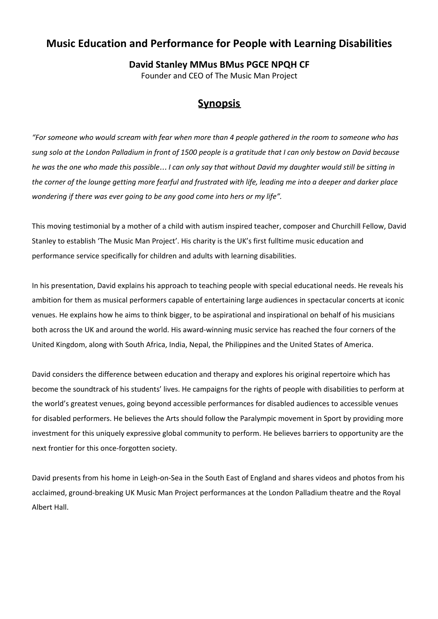## **Music Education and Performance for People with Learning Disabilities**

## **David Stanley MMus BMus PGCE NPQH CF**

Founder and CEO of The Music Man Project

## **Synopsis**

"For someone who would scream with fear when more than 4 people gathered in the room to someone who has sung solo at the London Palladium in front of 1500 people is a gratitude that I can only bestow on David because he was the one who made this possible... I can only say that without David my daughter would still be sitting in the corner of the lounge getting more fearful and frustrated with life, leading me into a deeper and darker place  *wondering if there was ever going to be any good come into hers or my life".*

 This moving testimonial by a mother of a child with autism inspired teacher, composer and Churchill Fellow, David Stanley to establish 'The Music Man Project'. His charity is the UK's first fulltime music education and performance service specifically for children and adults with learning disabilities.

 In his presentation, David explains his approach to teaching people with special educational needs. He reveals his ambition for them as musical performers capable of entertaining large audiences in spectacular concerts at iconic venues. He explains how he aims to think bigger, to be aspirational and inspirational on behalf of his musicians both across the UK and around the world. His award-winning music service has reached the four corners of the United Kingdom, along with South Africa, India, Nepal, the Philippines and the United States of America.

 David considers the difference between education and therapy and explores his original repertoire which has become the soundtrack of his students' lives. He campaigns for the rights of people with disabilities to perform at the world's greatest venues, going beyond accessible performances for disabled audiences to accessible venues for disabled performers. He believes the Arts should follow the Paralympic movement in Sport by providing more investment for this uniquely expressive global community to perform. He believes barriers to opportunity are the next frontier for this once-forgotten society.

 David presents from his home in Leigh-on-Sea in the South East of England and shares videos and photos from his acclaimed, ground-breaking UK Music Man Project performances at the London Palladium theatre and the Royal Albert Hall.